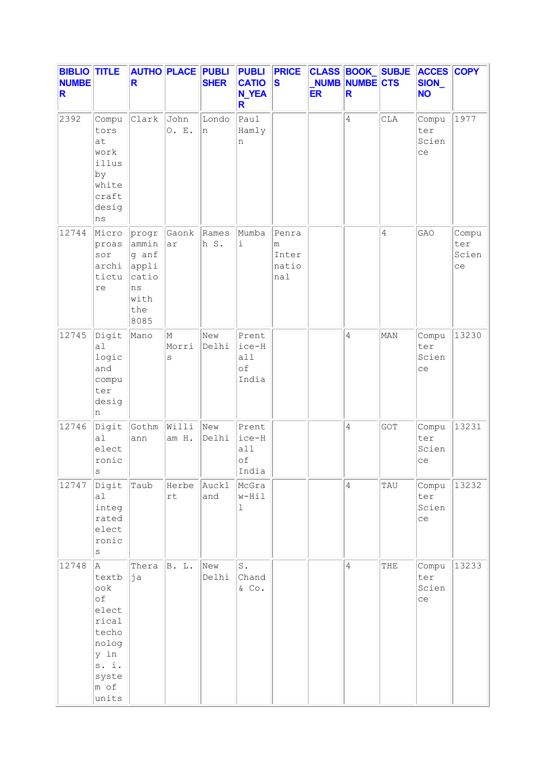| <b>BIBLIO TITLE</b><br><b>NUMBE</b><br>R |                                                                                                        | R                                                                      | <b>AUTHO PLACE PUBLI</b> | <b>SHER</b>        | <b>PUBLI</b><br><b>CATIO</b><br><b>N_YEA</b><br>R | <b>PRICE</b><br><b>S</b>            | <b>ER</b> | NUMB NUMBE CTS<br>R |     | CLASS BOOK SUBJE ACCES COPY<br>SION_<br><b>NO</b> |                             |
|------------------------------------------|--------------------------------------------------------------------------------------------------------|------------------------------------------------------------------------|--------------------------|--------------------|---------------------------------------------------|-------------------------------------|-----------|---------------------|-----|---------------------------------------------------|-----------------------------|
| 2392                                     | Compu<br>tors<br>at<br>work<br>illus<br>by<br>white<br>craft<br>desig<br>ns                            | Clark                                                                  | John<br>O. E.            | Londo<br>n         | l $_{\rm Paul}$<br>Hamly<br>n                     |                                     |           | $\overline{4}$      | CLA | Compu<br>ter<br>Scien<br>ce                       | 1977                        |
| 12744                                    | Micro<br>proas<br>sor<br>archi<br>tictu<br>re                                                          | progr<br>ammin<br>g anf<br>appli<br>catio<br>ns<br>with<br>the<br>8085 | Gaonk<br>ar              | Rames<br>h S.      | Mumba<br>$\mathtt{i}$                             | Penra<br>m<br>Inter<br>natio<br>nal |           |                     | 4   | GAO                                               | Compu<br>ter<br>Scien<br>ce |
| 12745                                    | Digit<br>a1<br>logic<br>and<br>compu<br>ter<br>desig<br>n                                              | Mano                                                                   | M<br>Morri<br>S          | New<br>Delhi       | Prent<br>ice-H<br>all<br>of<br>India              |                                     |           | 4                   | MAN | Compu<br>ter<br>Scien<br>ce                       | 13230                       |
| 12746                                    | Digit<br>a1<br>elect<br>ronic<br>$\rm s$                                                               | Gothm<br>ann                                                           | Willi<br>am H.           | New<br>Delhi       | Prent<br>ice-H<br>all<br>of<br>India              |                                     |           | $\overline{4}$      | GOT | Compu<br>ter<br>Scien<br>ce                       | 13231                       |
| 12747                                    | Digit<br>a1<br>integ<br>rated<br>elect<br>ronic<br>$\rm s$                                             | Taub                                                                   | $\mathtt{rt}$            | Herbe Auckl<br>and | McGra<br>w-Hil<br>$\mathbf 1$                     |                                     |           | $\overline{4}$      | TAU | Compu<br>ter<br>Scien<br>ce                       | 13232                       |
| 12748                                    | A<br>textb<br>ook<br>of<br>elect<br>rical<br>techo<br>nolog<br>y in<br>s. i.<br>syste<br>m of<br>units | Thera<br>þja                                                           | B. L.                    | New<br>Delhi       | S.<br>Chand<br>$&$ Co.                            |                                     |           | $\overline{4}$      | THE | Compu<br>ter<br>Scien<br>ce                       | 13233                       |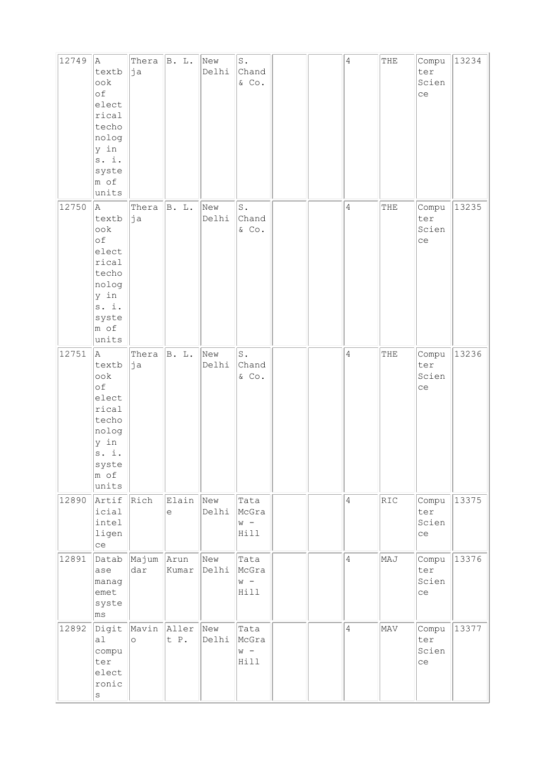| 12749 | A<br>textb<br>ook<br>of<br>elect<br>rical<br>techo<br>nolog<br>y in<br>s. i.<br>syste<br>m of<br>units   | Thera<br>þja           | B. L.         | New<br>Delhi | $\texttt{S}$ .<br>Chand<br>$&$ Co.  |  | $\overline{4}$ | THE | Compu<br>ter<br>Scien<br>ce | 13234 |
|-------|----------------------------------------------------------------------------------------------------------|------------------------|---------------|--------------|-------------------------------------|--|----------------|-----|-----------------------------|-------|
| 12750 | la.<br>textb<br>ook<br>of<br>elect<br>rical<br>techo<br>nolog<br>y in<br>s. i.<br>syste<br>m of<br>units | Thera<br>∣ja           | B. L.         | New<br>Delhi | $\mathtt{S}$ .<br>Chand<br>$&$ Co.  |  | 4              | THE | Compu<br>ter<br>Scien<br>ce | 13235 |
| 12751 | A<br>textb<br>ook<br>of<br>elect<br>rical<br>techo<br>nolog<br>y in<br>s. i.<br>syste<br>m of<br>units   | Thera<br>ja            | B. L.         | New<br>Delhi | $\mathtt{S}$ .<br>Chand<br>$\&$ Co. |  | $\overline{4}$ | THE | Compu<br>ter<br>Scien<br>ce | 13236 |
| 12890 | Artif<br>icial<br>intel<br>ligen<br>ce                                                                   | Rich                   | Elain<br>e    | New<br>Delhi | Tata<br>McGra<br>$W -$<br>Hill      |  | $\sqrt{4}$     | RIC | Compu<br>ter<br>Scien<br>ce | 13375 |
| 12891 | Datab<br>ase<br>manag<br>emet<br>syste<br>ms                                                             | Majum<br>dar           | Arun<br>Kumar | New<br>Delhi | Tata<br>McGra<br>$W -$<br>Hill      |  | $\overline{4}$ | MAJ | Compu<br>ter<br>Scien<br>ce | 13376 |
| 12892 | Digit<br>a <sub>l</sub><br>compu<br>ter<br>elect<br>ronic<br>$\rm s$                                     | Mavin Aller<br>$\circ$ | t P.          | New<br>Delhi | Tata<br>McGra<br>$W -$<br>Hill      |  | $\overline{4}$ | MAV | Compu<br>ter<br>Scien<br>ce | 13377 |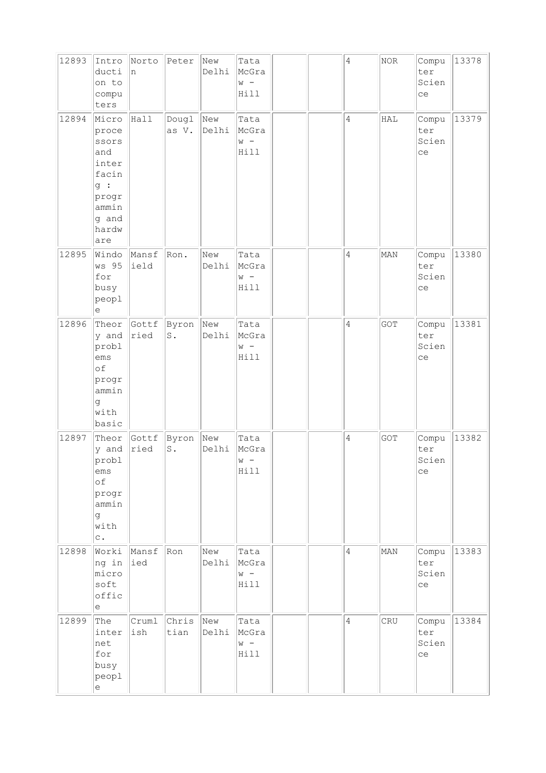| 12893 | Intro<br>ducti<br>on to<br>compu<br>ters                                                          | Norto<br>n    | Peter                   | New<br>Delhi | Tata<br>McGra<br>$W -$<br>Hill |  | $\sqrt{4}$     | NOR | Compu<br>ter<br>Scien<br>ce | 13378 |
|-------|---------------------------------------------------------------------------------------------------|---------------|-------------------------|--------------|--------------------------------|--|----------------|-----|-----------------------------|-------|
| 12894 | Micro<br>proce<br>ssors<br>and<br>inter<br>facin<br>g:<br>progr<br>ammin<br>g and<br>hardw<br>are | Hall          | Dougl<br>as V.          | New<br>Delhi | Tata<br>McGra<br>$W -$<br>Hill |  | $\overline{4}$ | HAL | Compu<br>ter<br>Scien<br>ce | 13379 |
| 12895 | Windo<br>ws 95<br>for<br>busy<br>peopl<br>е                                                       | Mansf<br>ield | Ron.                    | New<br>Delhi | Tata<br>McGra<br>$W -$<br>Hill |  | $\overline{4}$ | MAN | Compu<br>ter<br>Scien<br>ce | 13380 |
| 12896 | Theor<br>y and<br>probl<br>ems<br>of<br>progr<br>ammin<br>g<br>with<br>basic                      | Gottf<br>ried | Byron<br>$\mathtt{S}$ . | New<br>Delhi | Tata<br>McGra<br>$W -$<br>Hill |  | 4              | GOT | Compu<br>ter<br>Scien<br>ce | 13381 |
| 12897 | Theor<br>y and<br>probl<br>ems<br>of<br>progr<br>ammin<br>g<br>with<br>$\mathtt{C}$ .             | Gottf<br>ried | Byron<br>$\mathtt{S}$ . | New<br>Delhi | Tata<br>McGra<br>$W -$<br>Hill |  | $\overline{4}$ | GOT | Compu<br>ter<br>Scien<br>ce | 13382 |
| 12898 | Worki<br>ng in<br>micro<br>soft<br>offic<br>е                                                     | Mansf<br>ied  | Ron                     | New<br>Delhi | Tata<br>McGra<br>$W -$<br>Hill |  | $\overline{4}$ | MAN | Compu<br>ter<br>Scien<br>ce | 13383 |
| 12899 | The<br>inter<br>net<br>for<br>busy<br>peopl<br>$\mathrel{\mathop{\mathrm{e}}\nolimits}$           | Cruml<br>ish  | Chris<br>tian           | New<br>Delhi | Tata<br>McGra<br>$w -$<br>Hill |  | $\overline{4}$ | CRU | Compu<br>ter<br>Scien<br>ce | 13384 |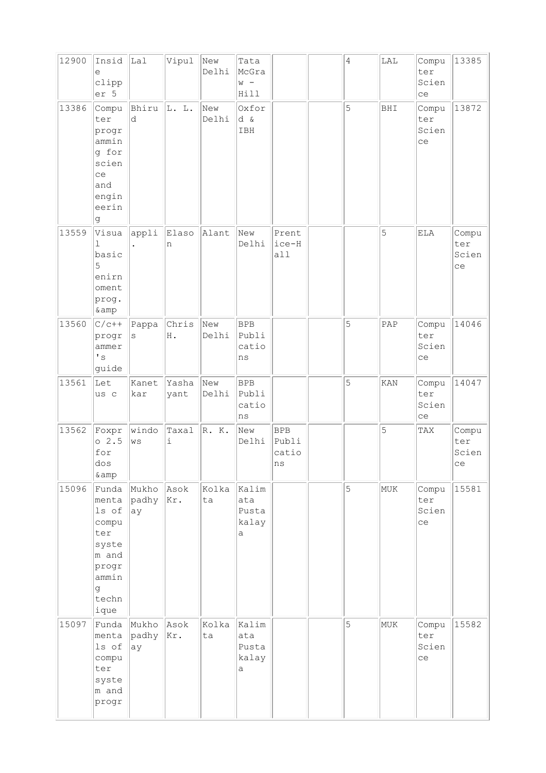| 12900 | Insid<br>е<br>clipp<br>er 5                                                                       | Lal                   | Vipul         | New<br>Delhi | Tata<br>McGra<br>$W -$<br>Hill                 |                                    | 4 | LAL | Compu<br>ter<br>Scien<br>ce | 13385                       |
|-------|---------------------------------------------------------------------------------------------------|-----------------------|---------------|--------------|------------------------------------------------|------------------------------------|---|-----|-----------------------------|-----------------------------|
| 13386 | Compu<br>ter<br>progr<br>ammin<br>g for<br>scien<br>ce<br>and<br>engin<br>eerin<br>g              | Bhiru<br>d            | L. L.         | New<br>Delhi | Oxfor<br>d &<br>IBH                            |                                    | 5 | BHI | Compu<br>ter<br>Scien<br>ce | 13872                       |
| 13559 | Visua<br>$\mathbb{I}$<br>basic<br>5<br>enirn<br>oment<br>prog.<br>& amp                           | appli                 | Elaso<br>n    | Alant        | New<br>Delhi                                   | Prent<br>ice-H<br>all              |   | 5   | ELA                         | Compu<br>ter<br>Scien<br>ce |
| 13560 | $C/c++$<br>progr<br>ammer<br>$^\prime$ s<br>guide                                                 | Pappa<br>S            | Chris<br>Η.   | New<br>Delhi | <b>BPB</b><br>Publi<br>catio<br>ns             |                                    | 5 | PAP | Compu<br>ter<br>Scien<br>ce | 14046                       |
| 13561 | Let<br>us c                                                                                       | Kanet<br>kar          | Yasha<br>yant | New<br>Delhi | <b>BPB</b><br>Publi<br>catio<br>ns             |                                    | 5 | KAN | Compu<br>ter<br>Scien<br>ce | 14047                       |
| 13562 | Foxpr<br>02.5<br>for<br>dos<br>& amp                                                              | windo<br>$_{\rm WS}$  | Taxal<br>i    | R. K.        | New<br>Delhi                                   | <b>BPB</b><br>Publi<br>catio<br>ns |   | 5   | TAX                         | Compu<br>ter<br>Scien<br>ce |
| 15096 | Funda<br>menta<br>ls of<br>compu<br>ter<br>syste<br>m and<br>progr<br>ammin<br>g<br>techn<br>ique | Mukho<br>padhy<br> ay | Asok<br>Kr.   | Kolka<br>ta  | kalim<br>ata<br>Pusta<br>kalay<br>a            |                                    | 5 | MUK | Compu<br>ter<br>Scien<br>ce | 15581                       |
| 15097 | Funda<br>menta<br>ls of<br>compu<br>ter<br>syste<br>m and<br>progr                                | Mukho<br>padhy<br>ay  | Asok<br>Kr.   | Kolka<br>ta  | Kalim<br>ata<br>Pusta<br>kalay<br>$\mathsf{a}$ |                                    | 5 | MUK | Compu<br>ter<br>Scien<br>ce | 15582                       |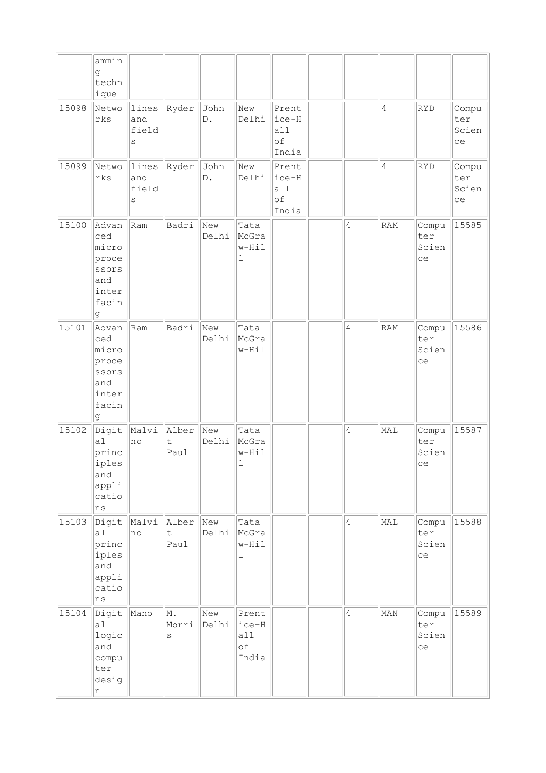|       | ammin<br>g                                                            |                            |                              |                       |                                       |                                      |                |                |                             |                             |
|-------|-----------------------------------------------------------------------|----------------------------|------------------------------|-----------------------|---------------------------------------|--------------------------------------|----------------|----------------|-----------------------------|-----------------------------|
|       | techn<br>ique                                                         |                            |                              |                       |                                       |                                      |                |                |                             |                             |
| 15098 | Netwo<br>rks                                                          | lines<br>and<br>field<br>S | Ryder                        | John<br>$\mathbb D$ . | New<br>Delhi                          | Prent<br>ice-H<br>a11<br>оf<br>India |                | 4              | RYD                         | Compu<br>ter<br>Scien<br>ce |
| 15099 | Netwo<br>rks                                                          | lines<br>and<br>field<br>S | Ryder                        | John<br>$\mathbb D$ . | New<br>Delhi                          | Prent<br>ice-H<br>a11<br>of<br>India |                | $\overline{4}$ | RYD                         | Compu<br>ter<br>Scien<br>ce |
| 15100 | Advan<br>ced<br>micro<br>proce<br>ssors<br>and<br>inter<br>facin<br>g | Ram                        | Badri                        | New<br>Delhi          | Tata<br>McGra<br>w-Hil<br>ı           |                                      | $\sqrt{4}$     | RAM            | Compu<br>ter<br>Scien<br>ce | 15585                       |
| 15101 | Advan<br>ced<br>micro<br>proce<br>ssors<br>and<br>inter<br>facin<br>g | Ram                        | Badri                        | New<br>Delhi          | Tata<br>McGra<br>$w-Hi1$<br>1         |                                      | $\overline{4}$ | RAM            | Compu<br>ter<br>Scien<br>ce | 15586                       |
| 15102 | Digit<br>a1<br>princ<br>iples<br>and<br>appli<br>catio<br>ns          | Malvi<br>no                | Alber<br>$\mathsf t$<br>Paul | New<br>Delhi          | Tata<br>McGra<br>w-Hil<br>$\mathbf 1$ |                                      | $\sqrt{4}$     | MAL            | Compu<br>ter<br>Scien<br>ce | 15587                       |
| 15103 | Digit<br>a1<br>princ<br>iples<br>and<br>appli<br>catio<br>ns          | Malvi<br> no               | Alber<br>$\mathsf t$<br>Paul | New<br>Delhi          | Tata<br>McGra<br>w-Hil<br>$\mathbf 1$ |                                      | $\overline{4}$ | MAL            | Compu<br>ter<br>Scien<br>ce | 15588                       |
| 15104 | Digit<br>a1<br>logic<br>and<br>compu<br>ter<br>desig<br>n             | Mano                       | M.<br>Morri<br>$\rm s$       | New<br>Delhi          | Prent<br>ice-H<br>all<br>of<br>India  |                                      | $\overline{4}$ | MAN            | Compu<br>ter<br>Scien<br>ce | 15589                       |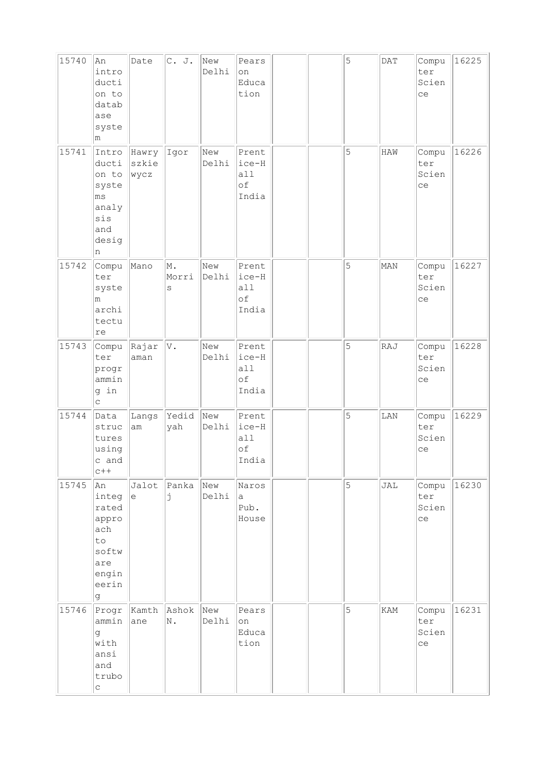| 15740 | An<br>intro<br>ducti<br>on to<br>datab<br>ase<br>syste<br>m                        | Date                   | C. J.            | New<br>Delhi | Pears<br>on<br>Educa<br>tion           |  | 5 | DATA       | Compu<br>ter<br>Scien<br>ce | 16225 |
|-------|------------------------------------------------------------------------------------|------------------------|------------------|--------------|----------------------------------------|--|---|------------|-----------------------------|-------|
| 15741 | Intro<br>ducti<br>on to<br>syste<br>ms<br>analy<br>sis<br>and<br>desig<br>n        | Hawry<br>szkie<br>wycz | Igor             | New<br>Delhi | Prent<br>ice-H<br>all<br>of<br>India   |  | 5 | <b>HAW</b> | Compu<br>ter<br>Scien<br>ce | 16226 |
| 15742 | Compu<br>ter<br>syste<br>m<br>archi<br>tectu<br>re                                 | Mano                   | M.<br>Morri<br>S | New<br>Delhi | Prent<br>ice-H<br>all<br>of<br>India   |  | 5 | MAN        | Compu<br>ter<br>Scien<br>ce | 16227 |
| 15743 | Compu<br>ter<br>progr<br>ammin<br>g in<br>$\mathop{\mathsf{C}}$                    | Rajar<br>aman          | V.               | New<br>Delhi | Prent<br>ice-H<br>all<br>оf<br>India   |  | 5 | RAJ        | Compu<br>ter<br>Scien<br>ce | 16228 |
| 15744 | Data<br>struc<br>tures<br>using<br>c and<br>$c++$                                  | Langs<br>am            | Yedid<br>yah     | New<br>Delhi | Prent<br>$ice-H$<br>all<br>of<br>India |  | 5 | LAN        | Compu<br>ter<br>Scien<br>ce | 16229 |
| 15745 | An<br>integ<br>rated<br>appro<br>ach<br>to<br>softw<br>are<br>engin<br>eerin<br>g. | Jalot<br>$\epsilon$    | Panka<br>j       | New<br>Delhi | Naros<br>a<br>Pub.<br>House            |  | 5 | JAL        | Compu<br>ter<br>Scien<br>ce | 16230 |
| 15746 | Progr<br>ammin<br>g<br>with<br>ansi<br>and<br>trubo<br>$\mathtt{C}$                | Kamth<br>ane           | Ashok<br>N.      | New<br>Delhi | Pears<br>on<br>Educa<br>tion           |  | 5 | KAM        | Compu<br>ter<br>Scien<br>ce | 16231 |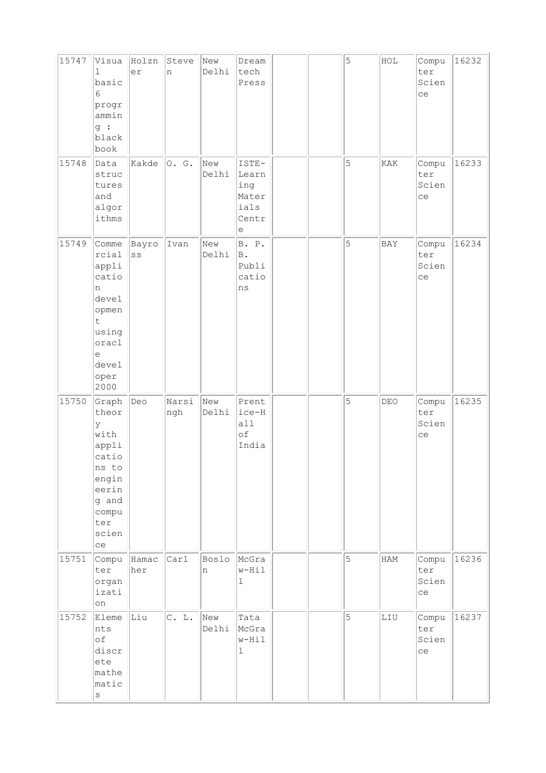| 15747 | Visua<br>ı<br>basic<br>6<br>progr<br>ammin<br>g:<br>black<br>book                                                | Holzn<br>er                       | Steve<br>n   | New<br>Delhi | Dream<br>tech<br>Press                               |  | 5 | HOL | Compu<br>ter<br>Scien<br>ce | 16232 |
|-------|------------------------------------------------------------------------------------------------------------------|-----------------------------------|--------------|--------------|------------------------------------------------------|--|---|-----|-----------------------------|-------|
| 15748 | Data<br>struc<br>tures<br>and<br>algor<br>ithms                                                                  | Kakde                             | $\circ$ . G. | New<br>Delhi | ISTE-<br>Learn<br>ing<br>Mater<br>ials<br>Centr<br>е |  | 5 | KAK | Compu<br>ter<br>Scien<br>ce | 16233 |
| 15749 | Comme<br>rcial<br>appli<br>catio<br>n<br>devel<br>opmen<br>t<br>using<br>oracl<br>e<br>devel<br>oper<br>2000     | Bayro<br>$\mathbf{S}\,\mathbf{S}$ | Ivan         | New<br>Delhi | B. P.<br><b>B</b> .<br>Publi<br>catio<br>ns          |  | 5 | BAY | Compu<br>ter<br>Scien<br>ce | 16234 |
| 15750 | Graph<br>theor<br>У<br>with<br>appli<br>catio<br>ns to<br>engin<br>eerin<br>g and<br>compu<br>ter<br>scien<br>ce | Deo                               | Narsi<br>ngh | New<br>Delhi | Prent<br>ice-H<br>all<br>оf<br>India                 |  | 5 | DEO | Compu<br>ter<br>Scien<br>ce | 16235 |
| 15751 | Compu<br>ter<br>organ<br>izati<br>on                                                                             | Hamac<br>her                      | Carl         | Boslo<br>n   | McGra<br>w-Hil<br>ı                                  |  | 5 | HAM | Compu<br>ter<br>Scien<br>ce | 16236 |
| 15752 | Eleme<br>nts<br>оf<br>discr<br>ete<br>mathe<br>matic<br>$\rm s$                                                  | Liu                               | C. L.        | New<br>Delhi | Tata<br>McGra<br>w-Hil<br>ı                          |  | 5 | LIU | Compu<br>ter<br>Scien<br>ce | 16237 |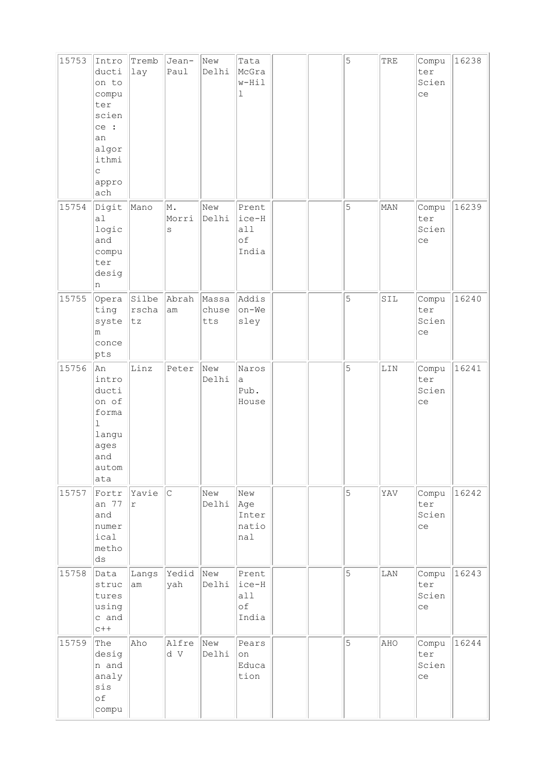| 15753 | Intro<br>ducti<br>on to<br>compu<br>ter<br>scien<br>ce :<br>an<br>algor<br>ithmi<br>$\mathsf{C}$<br>appro<br>ach | Tremb<br>lay             | Jean-<br>Paul    | New<br>Delhi          | Tata<br>McGra<br>w-Hil<br>$\mathbf 1$  |  | 5 | TRE | Compu<br>ter<br>Scien<br>ce | 16238 |
|-------|------------------------------------------------------------------------------------------------------------------|--------------------------|------------------|-----------------------|----------------------------------------|--|---|-----|-----------------------------|-------|
| 15754 | Digit<br>a1<br>logic<br>and<br>compu<br>ter<br>desig<br>n                                                        | Mano                     | M.<br>Morri<br>S | New<br>Delhi          | Prent<br> ice-H<br>all<br>оf<br>India  |  | 5 | MAN | Compu<br>ter<br>Scien<br>ce | 16239 |
| 15755 | Opera<br>ting<br>syste<br>m<br>conce<br>pts                                                                      | Silbe<br>$r$ scha<br> tz | Abrah<br>am      | Massa<br>chuse<br>tts | Addis<br>on-We<br>sley                 |  | 5 | SIL | Compu<br>ter<br>Scien<br>ce | 16240 |
| 15756 | An<br>intro<br>ducti<br>on of<br>forma<br>$\mathbf{1}$<br>langu<br>ages<br>and<br>autom<br>ata                   | Linz                     | Peter            | New<br>Delhi          | Naros<br>$\mathsf{a}$<br>Pub.<br>House |  | 5 | LIN | Compu<br>ter<br>Scien<br>ce | 16241 |
| 15757 | Fortr<br>an 77<br>and<br>numer<br>ical<br>metho<br>$\mathrm{d}\mathbf{s}$                                        | Yavie<br>$\Upsilon$      | c                | New<br>Delhi          | New<br>Age<br>Inter<br>natio<br>nal    |  | 5 | YAV | Compu<br>ter<br>Scien<br>ce | 16242 |
| 15758 | Data<br>struc<br>tures<br>using<br>c and<br>$c++$                                                                | Langs<br>am              | Yedid<br>yah     | New<br>Delhi          | Prent<br>ice-H<br>all<br>of<br>India   |  | 5 | LAN | Compu<br>ter<br>Scien<br>ce | 16243 |
| 15759 | The<br>desig<br>n and<br>analy<br>sis<br>of<br>compu                                                             | Aho                      | Alfre<br>d V     | New<br>Delhi          | Pears<br>on<br>Educa<br>tion           |  | 5 | AHO | Compu<br>ter<br>Scien<br>ce | 16244 |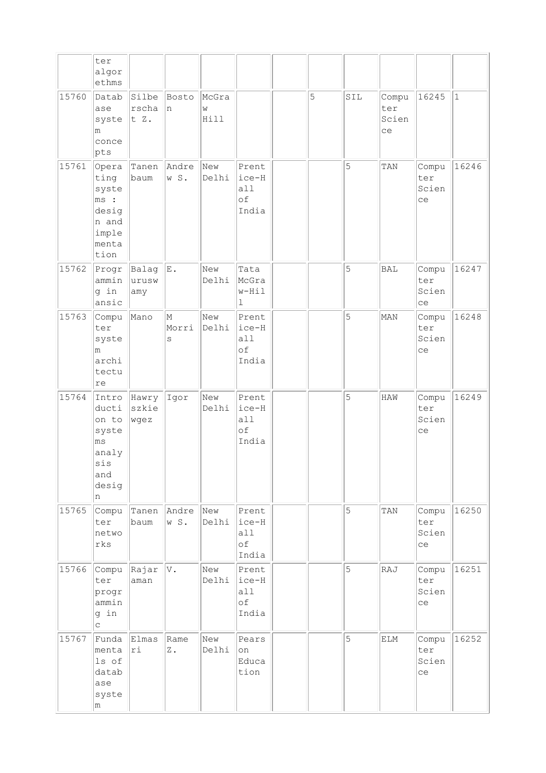|       | ter                                                                         |                        |                       |                    |                                      |   |     |                             |                             |           |
|-------|-----------------------------------------------------------------------------|------------------------|-----------------------|--------------------|--------------------------------------|---|-----|-----------------------------|-----------------------------|-----------|
|       | algor<br>ethms                                                              |                        |                       |                    |                                      |   |     |                             |                             |           |
| 15760 | Datab<br>ase<br>syste<br>m<br>conce<br>pts                                  | Silbe<br>rscha<br>t Z. | Bosto<br>In.          | McGra<br>W<br>Hill |                                      | 5 | SIL | Compu<br>ter<br>Scien<br>ce | 16245                       | $\vert$ 1 |
| 15761 | Opera<br>ting<br>syste<br>ms:<br>desig<br>n and<br>imple<br>menta<br>tion   | baum                   | Tanen Andre<br>w S.   | New<br>Delhi       | Prent<br>ice-H<br>all<br>оf<br>India |   | 5   | TAN                         | Compu<br>ter<br>Scien<br>ce | 16246     |
| 15762 | Progr<br>ammin<br>g in<br>ansic                                             | Balag<br>urusw<br>amy  | E.                    | New<br>Delhi       | Tata<br>McGra<br>w-Hil<br>ı          |   | 5   | BAL                         | Compu<br>ter<br>Scien<br>ce | 16247     |
| 15763 | Compu<br>ter<br>syste<br>m<br>archi<br>tectu<br>lre                         | Mano                   | M<br>Morri<br>$\rm s$ | New<br>Delhi       | Prent<br>ice-H<br>all<br>оf<br>India |   | 5   | MAN                         | Compu<br>ter<br>Scien<br>ce | 16248     |
| 15764 | Intro<br>ducti<br>on to<br>syste<br>ms<br>analy<br>sis<br>and<br>desig<br>n | Hawry<br>szkie<br>wgez | Igor                  | New<br>Delhi       | Prent<br>ice-H<br>all<br>оf<br>India |   | 5   | HAW                         | Compu<br>ter<br>Scien<br>ce | 16249     |
| 15765 | Compu<br>ter<br>netwo<br>rks                                                | Tanen<br>baum          | Andre<br>w S.         | New<br>Delhi       | Prent<br>ice-H<br>all<br>оf<br>India |   | 5   | TAN                         | Compu<br>ter<br>Scien<br>ce | 16250     |
| 15766 | Compu<br>ter<br>progr<br>ammin<br>g in<br>$\mathsf{C}$                      | Rajar<br>aman          | V.                    | New<br>Delhi       | Prent<br>ice-H<br>all<br>оf<br>India |   | 5   | RAJ                         | Compu<br>ter<br>Scien<br>ce | 16251     |
| 15767 | Funda<br>menta<br>ls of<br>datab<br>ase<br>syste<br>m                       | Elmas<br>ri            | Rame<br>$Z$ .         | New<br>Delhi       | Pears<br>on<br>Educa<br>tion         |   | 5   | ELM                         | Compu<br>ter<br>Scien<br>ce | 16252     |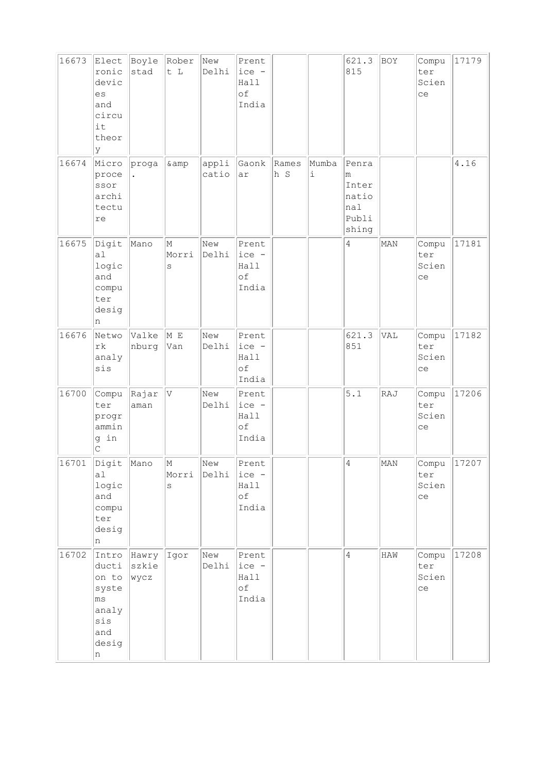| 16673 | Elect<br>ronic<br>devic<br>es<br>and<br>circu<br>it<br>theor<br>y           | Boyle<br>stad          | Rober<br>t L                       | New<br>Delhi   | Prent<br>ice -<br>Hall<br>of<br>India    |              |                    | 621.3<br>815                                          | BOY | Compu<br>ter<br>Scien<br>ce | 17179 |
|-------|-----------------------------------------------------------------------------|------------------------|------------------------------------|----------------|------------------------------------------|--------------|--------------------|-------------------------------------------------------|-----|-----------------------------|-------|
| 16674 | Micro<br>proce<br>ssor<br>archi<br>tectu<br>re                              | proga                  | & amp                              | appli<br>catio | Gaonk<br>ar                              | Rames<br>h S | Mumba<br>$\dot{1}$ | Penra<br>m<br>Inter<br>natio<br>nal<br>Publi<br>shing |     |                             | 4.16  |
| 16675 | Digit<br>a1<br>logic<br>and<br>compu<br>ter<br>desig<br>n                   | Mano                   | M<br>Morri<br>S                    | New<br>Delhi   | Prent<br>ice -<br>Hall<br>of<br>India    |              |                    | $\overline{4}$                                        | MAN | Compu<br>ter<br>Scien<br>ce | 17181 |
| 16676 | Netwo<br>rk<br>analy<br>sis                                                 | Valke<br>nburg         | M E<br>Van                         | New<br>Delhi   | Prent<br>ice -<br>Hall<br>of<br>India    |              |                    | 621.3<br>851                                          | VAL | Compu<br>ter<br>Scien<br>ce | 17182 |
| 16700 | Compu<br>ter<br>progr<br>ammin<br>g in<br>С                                 | Rajar<br>aman          | V                                  | New<br>Delhi   | Prent<br>ice -<br>Hall<br>of<br>India    |              |                    | 5.1                                                   | RAJ | Compu<br>ter<br>Scien<br>ce | 17206 |
| 16701 | Digit Mano<br>a1<br>logic<br>and<br>compu<br>ter<br>desig<br>n              |                        | $\vert_{\mathbb{M}}$<br>Morri<br>S | New<br>Delhi   | Prent<br>$ ice -$<br>Hall<br>of<br>India |              |                    | $\overline{4}$                                        | MAN | Compu<br>ter<br>Scien<br>ce | 17207 |
| 16702 | Intro<br>ducti<br>on to<br>syste<br>ms<br>analy<br>sis<br>and<br>desig<br>n | Hawry<br>szkie<br>wycz | Igor                               | New<br>Delhi   | Prent<br>ice -<br>Hall<br>оf<br>India    |              |                    | 4                                                     | HAW | Compu<br>ter<br>Scien<br>ce | 17208 |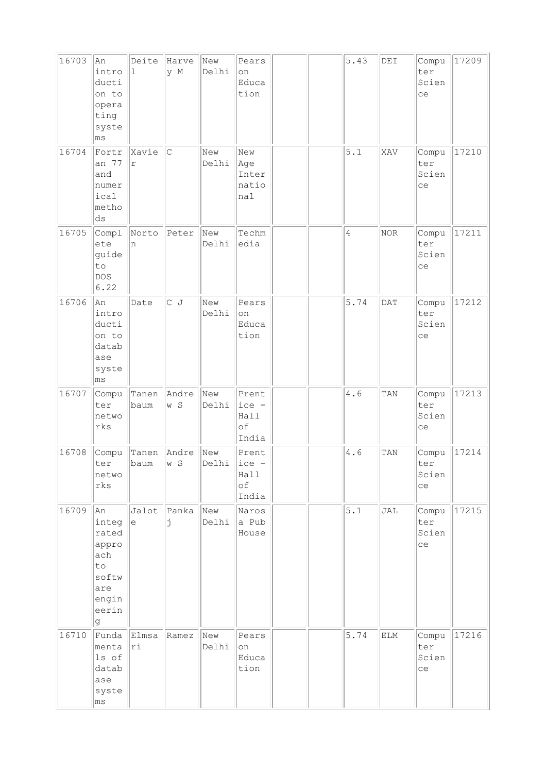| 16703 | An<br>intro<br>ducti<br>on to<br>opera<br>ting<br>syste<br>ms                     | Deite<br>ı    | Harve<br>y M  | New<br>Delhi | Pears<br>on<br>Educa<br>tion             |  | 5.43           | DEI        | Compu<br>ter<br>Scien<br>ce | 17209 |
|-------|-----------------------------------------------------------------------------------|---------------|---------------|--------------|------------------------------------------|--|----------------|------------|-----------------------------|-------|
| 16704 | Fortr<br>an 77<br>and<br>numer<br>ical<br>metho<br>ds                             | Xavie<br>r    | C             | New<br>Delhi | New<br>Age<br>Inter<br>natio<br>nal      |  | 5.1            | XAV        | Compu<br>ter<br>Scien<br>ce | 17210 |
| 16705 | Compl<br>ete<br>guide<br>to<br><b>DOS</b><br>6.22                                 | Norto<br>n    | Peter         | New<br>Delhi | Techm<br>edia                            |  | $\overline{4}$ | $\rm{NOR}$ | Compu<br>ter<br>Scien<br>ce | 17211 |
| 16706 | An<br>intro<br>ducti<br>on to<br>datab<br>ase<br>syste<br>ms                      | Date          | $C$ J         | New<br>Delhi | Pears<br>on<br>Educa<br>tion             |  | 5.74           | DATA       | Compu<br>ter<br>Scien<br>ce | 17212 |
| 16707 | Compu<br>ter<br>netwo<br>rks                                                      | Tanen<br>baum | Andre<br>w S  | New<br>Delhi | Prent<br>$ ice -$<br>Hall<br>of<br>India |  | 4.6            | TAN        | Compu<br>ter<br>Scien<br>ce | 17213 |
| 16708 | Compu<br>ter<br>netwo<br>rks                                                      | Tanen<br>baum | Andre<br> w S | New<br>Delhi | Prent<br>ice -<br>Hall<br>оf<br>India    |  | 4.6            | TAN        | Compu<br>ter<br>Scien<br>ce | 17214 |
| 16709 | An<br>integ<br>rated<br>appro<br>ach<br>to<br>softw<br>are<br>engin<br>eerin<br>g | Jalot<br>e    | Panka<br>Ė    | New<br>Delhi | Naros<br>a Pub<br>House                  |  | 5.1            | JAL        | Compu<br>ter<br>Scien<br>ce | 17215 |
| 16710 | Funda<br>menta<br>ls of<br>datab<br>ase<br>syste<br>ms                            | Elmsa<br> ri  | Ramez         | New<br>Delhi | Pears<br>on<br>Educa<br>tion             |  | 5.74           | ELM        | Compu<br>ter<br>Scien<br>ce | 17216 |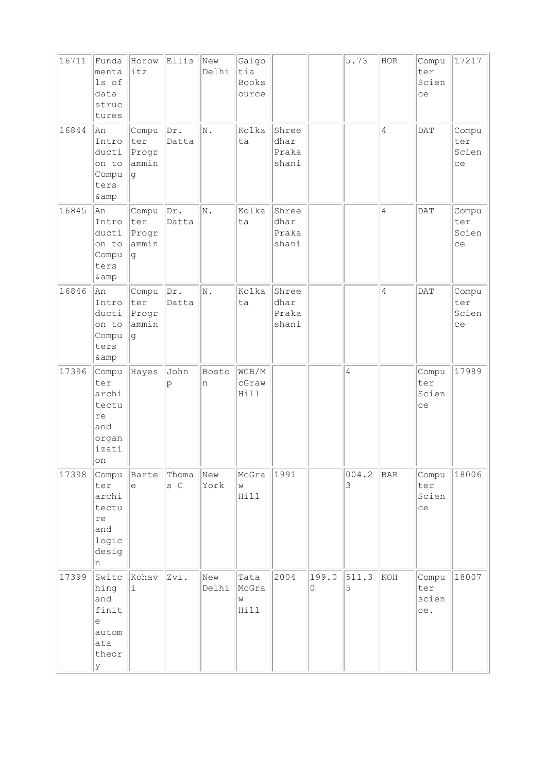| 16711 | Funda<br>menta<br>ls of<br>data<br>struc<br>tures                   | Horow<br>itz                          | Ellis                 | New<br>Delhi | Galgo<br>tia<br><b>Books</b><br>ource |                                 |            | 5.73       | HOR            | Compu<br>ter<br>Scien<br>ce  | 17217                       |
|-------|---------------------------------------------------------------------|---------------------------------------|-----------------------|--------------|---------------------------------------|---------------------------------|------------|------------|----------------|------------------------------|-----------------------------|
| 16844 | An<br>Intro<br>ducti<br>on to<br>Compu<br>ters<br>& amp             | Compu<br>ter<br>Progr<br>ammin<br> g  | Dr.<br>Datta          | N.           | Kolka<br>ta                           | Shree<br>dhar<br>Praka<br>shani |            |            | $\overline{4}$ | DAT                          | Compu<br>ter<br>Scien<br>ce |
| 16845 | An<br>Intro<br>ducti<br>on to<br>Compu<br>ters<br>& amp             | Compu<br>ter<br>Progr<br>ammin<br>lg. | $\text{Dr.}$<br>Datta | N.           | Kolka<br>ta                           | Shree<br>dhar<br>Praka<br>shani |            |            | $\overline{4}$ | DAT                          | Compu<br>ter<br>Scien<br>ce |
| 16846 | An<br>Intro<br>ducti<br>on to<br>Compu<br>ters<br>& amp             | Compu<br>ter<br>Progr<br>ammin<br>l q | Dr.<br>Datta          | N.           | Kolka<br>ta                           | Shree<br>dhar<br>Praka<br>shani |            |            | $\overline{4}$ | DATA                         | Compu<br>ter<br>Scien<br>ce |
| 17396 | Compu<br>ter<br>archi<br>tectu<br>re<br>and<br>organ<br>izati<br>on | Hayes                                 | John<br>p             | Bosto<br>n   | WCB/M<br>cGraw<br>Hill                |                                 |            | 4          |                | Compu<br>ter<br>Scien<br>ce  | 17989                       |
| 17398 | Compu<br>ter<br>archi<br>tectu<br>re<br>and<br>logic<br>desig<br>n  | Barte<br>$\epsilon$                   | Thoma<br>s C          | New<br>York  | McGra<br>W<br>Hill                    | 1991                            |            | 004.2<br>3 | BAR            | Compu<br>ter<br>Scien<br>ce  | 18006                       |
| 17399 | Switc<br>hing<br>and<br>finit<br>le<br>autom<br>ata<br>theor<br>lУ  | Kohav<br>i                            | Zvi.                  | New<br>Delhi | Tata<br>McGra<br>W<br>Hill            | 2004                            | 199.0<br>0 | 511.3<br>5 | KOH            | Compu<br>ter<br>scien<br>ce. | 18007                       |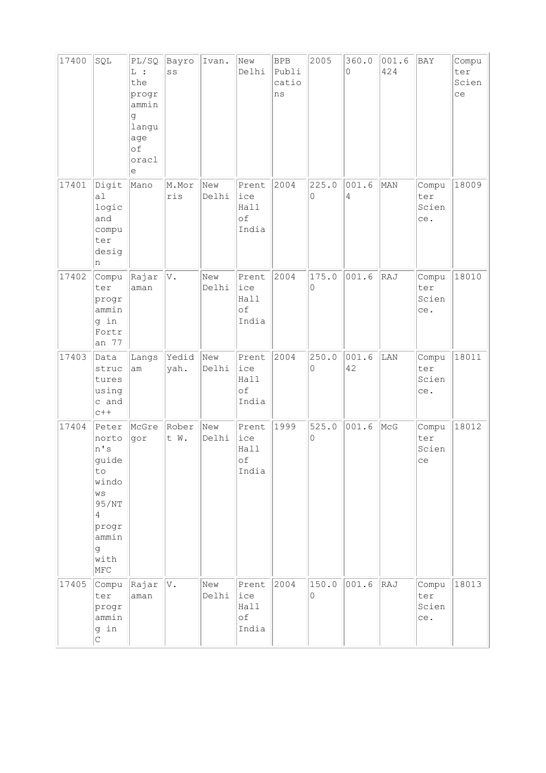| 17400 | SQL                                                                                                                  | PL/SQ<br>$L$ :<br>the<br>progr<br>ammin<br>đ<br>langu<br>age<br>of<br>oracl<br>е | Bayro<br>SS   | Ivan.        | New<br>Delhi                        | <b>BPB</b><br>Publi<br>catio<br>ns | 2005       | 360.0<br>$\Omega$ | 001.6<br>424  | BAY                          | Compu<br>ter<br>Scien<br>ce |
|-------|----------------------------------------------------------------------------------------------------------------------|----------------------------------------------------------------------------------|---------------|--------------|-------------------------------------|------------------------------------|------------|-------------------|---------------|------------------------------|-----------------------------|
| 17401 | Digit<br>a1<br>logic<br>and<br>compu<br>ter<br>desig<br>n                                                            | Mano                                                                             | M.Mor<br>ris  | New<br>Delhi | Prent<br>ice<br>Hall<br>of<br>India | 2004                               | 225.0<br>0 | 001.6<br>4        | MAN           | Compu<br>ter<br>Scien<br>ce. | 18009                       |
| 17402 | Compu<br>ter<br>progr<br>ammin<br>g in<br>Fortr<br>an 77                                                             | Rajar<br>aman                                                                    | V.            | New<br>Delhi | Prent<br>ice<br>Hall<br>оf<br>India | 2004                               | 175.0<br>0 | 001.6             | RAJ           | Compu<br>ter<br>Scien<br>ce. | 18010                       |
| 17403 | Data<br>struc<br>tures<br>using<br>c and<br>$C++$                                                                    | Langs<br>am                                                                      | Yedid<br>yah. | New<br>Delhi | Prent<br>ice<br>Hall<br>оf<br>India | 2004                               | 250.0<br>0 | 001.6<br>42       | LAN           | Compu<br>ter<br>Scien<br>ce. | 18011                       |
| 17404 | Peter<br>norto<br>n's<br>guide<br>to<br>windo<br>WS<br>95/NT<br>$\overline{4}$<br>progr<br>ammin<br>g<br>with<br>MFC | McGre<br>gor                                                                     | Rober<br>t W. | New<br>Delhi | Prent<br>ice<br>Hall<br>оf<br>India | 1999                               | 525.0<br>0 | 001.6             | $ {\tt MCG} $ | Compu<br>ter<br>Scien<br>ce  | 18012                       |
| 17405 | Compu<br>ter<br>progr<br>ammin<br>g in<br>$\mathsf C$                                                                | Rajar<br>aman                                                                    | V.            | New<br>Delhi | Prent<br>ice<br>Hall<br>οf<br>India | 2004                               | 150.0<br>0 | 001.6             | RAJ           | Compu<br>ter<br>Scien<br>ce. | 18013                       |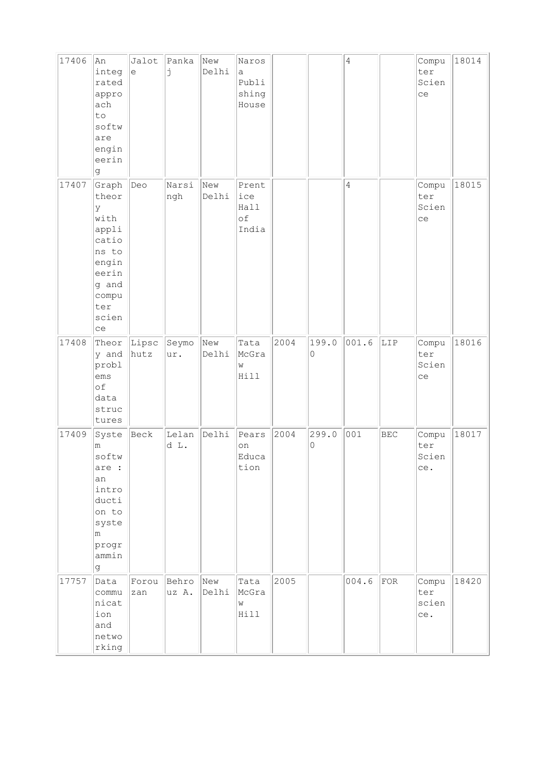| 17406 | An<br>integ<br>rated<br>appro<br>ach<br>to<br>softw<br>are<br>engin<br>eerin<br>g                                 | Jalot<br>$\mathrel{\mathop{\mathrm{e}}\nolimits}$ | Panka<br>j     | New<br>Delhi | Naros<br>a<br>Publi<br>shing<br>House |      |            | $\overline{4}$ |            | Compu<br>ter<br>Scien<br>ce  | 18014 |
|-------|-------------------------------------------------------------------------------------------------------------------|---------------------------------------------------|----------------|--------------|---------------------------------------|------|------------|----------------|------------|------------------------------|-------|
| 17407 | Graph<br>theor<br>ly<br>with<br>appli<br>catio<br>ns to<br>engin<br>eerin<br>g and<br>compu<br>ter<br>scien<br>ce | Deo                                               | Narsi<br>ngh   | New<br>Delhi | Prent<br>ice<br>Hall<br>of<br>India   |      |            | 4              |            | Compu<br>ter<br>Scien<br>ce  | 18015 |
| 17408 | Theor<br>y and<br>probl<br>ems<br>of<br>data<br>struc<br>tures                                                    | Lipsc<br>hutz                                     | Seymo<br>ur.   | New<br>Delhi | Tata<br>McGra<br>W<br>Hill            | 2004 | 199.0<br>0 | 001.6          | LIP        | Compu<br>ter<br>Scien<br>ce  | 18016 |
| 17409 | Syste<br>m<br>softw<br>are :<br>an<br>intro<br>ducti<br>on to<br>syste<br>m<br>progr<br>ammin<br>lg.              | Beck                                              | Lelan<br>d L.  | Delhi        | Pears<br>on<br>Educa<br>tion          | 2004 | 299.0<br>0 | 001            | <b>BEC</b> | Compu<br>ter<br>Scien<br>ce. | 18017 |
| 17757 | Data<br>commu<br>nicat<br>ion<br>and<br>netwo<br>rking                                                            | Forou<br>zan                                      | Behro<br>uz A. | New<br>Delhi | Tata<br>McGra<br>W<br>Hill            | 2005 |            | 004.6          | FOR        | Compu<br>ter<br>scien<br>ce. | 18420 |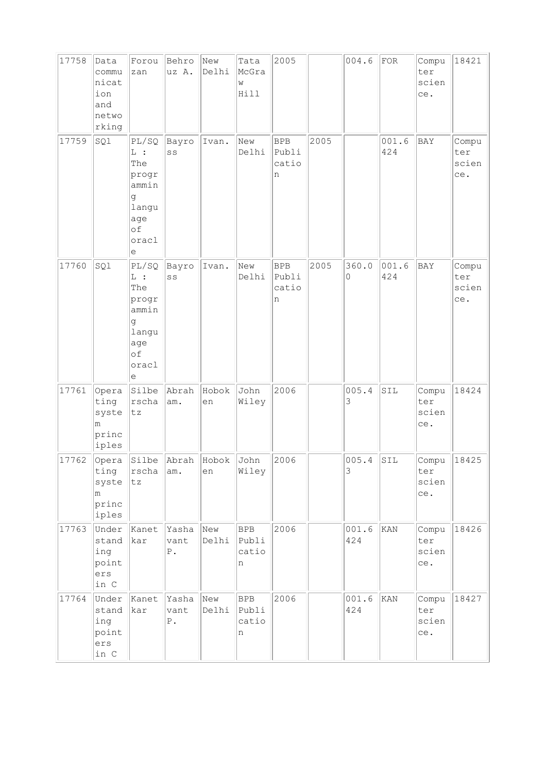| 17758 | Data<br>commu<br>nicat<br>ion<br>and<br>netwo<br>rking | Forou<br>zan                                                                     | Behro<br>uz A.                   | New<br>Delhi | Tata<br>McGra<br>W<br>Hill        | 2005                              |      | 004.6        | FOR            | Compu<br>ter<br>scien<br>ce. | 18421                        |
|-------|--------------------------------------------------------|----------------------------------------------------------------------------------|----------------------------------|--------------|-----------------------------------|-----------------------------------|------|--------------|----------------|------------------------------|------------------------------|
| 17759 | SQl                                                    | PL/SQ<br>$L$ :<br>The<br>progr<br>ammin<br>g<br>langu<br>age<br>of<br>oracl<br>е | Bayro<br>SS                      | Ivan.        | New<br>Delhi                      | <b>BPB</b><br>Publi<br>catio<br>n | 2005 |              | 001.6<br>424   | BAY                          | Compu<br>ter<br>scien<br>ce. |
| 17760 | SQ1                                                    | PL/SQ<br>$L$ :<br>The<br>progr<br>ammin<br>g<br>langu<br>age<br>of<br>oracl<br>е | Bayro<br>SS                      | Ivan.        | New<br>Delhi                      | <b>BPB</b><br>Publi<br>catio<br>n | 2005 | 360.0<br>0   | 001.6<br>424   | BAY                          | Compu<br>ter<br>scien<br>ce. |
| 17761 | Opera<br>ting<br>syste<br>m<br>princ<br>iples          | Silbe<br>rscha<br>tz                                                             | Abrah<br>am.                     | Hobok<br>en  | John<br>Wiley                     | 2006                              |      | 005.4<br>3   | SIL            | Compu<br>ter<br>scien<br>ce. | 18424                        |
| 17762 | Opera<br>ting<br>syste<br>m<br>princ<br>iples          | rscha<br>tz                                                                      | Silbe Abrah<br>am.               | Hobok<br>en  | John<br>Wiley                     | 2006                              |      | 005.4<br>3   | SIL            | Compu<br>ter<br>scien<br>ce. | 18425                        |
| 17763 | Under<br>stand<br>ing<br>point<br>ers<br>in C          | Kanet<br>kar                                                                     | Yasha<br>vant<br>${\mathbb P}$ . | New<br>Delhi | <b>BPB</b><br>Publi<br>catio<br>n | 2006                              |      | 001.6<br>424 | KAN            | Compu<br>ter<br>scien<br>ce. | 18426                        |
| 17764 | Under<br>stand<br>ing<br>point<br>ers<br>in C          | Kanet<br>kar                                                                     | Yasha<br>vant<br>${\mathbb P}$ . | New<br>Delhi | <b>BPB</b><br>Publi<br>catio<br>n | 2006                              |      | 001.6<br>424 | $\texttt{KAN}$ | Compu<br>ter<br>scien<br>ce. | 18427                        |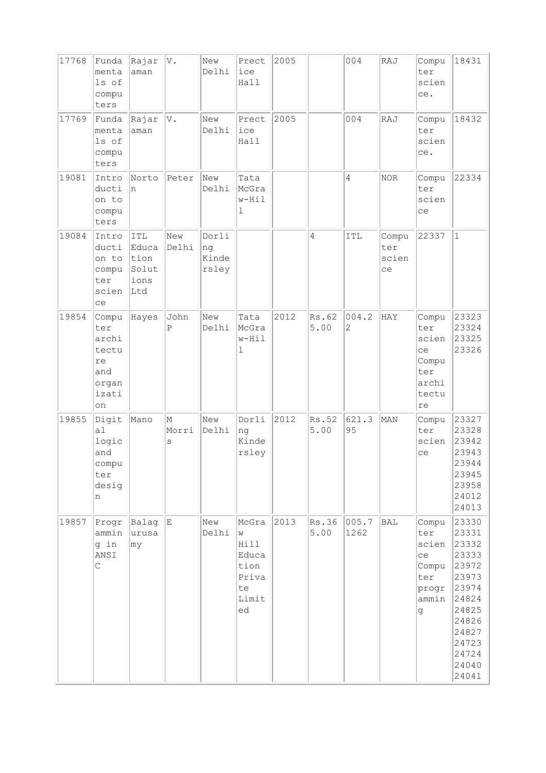| 17768 | Funda<br>menta<br>ls of<br>compu<br>ters                            | Rajar<br>aman                                | V.              | New<br>Delhi                  | Prect<br>ice<br>Hall                                              | 2005 |                | 004                     | RAJ                         | Compu<br>ter<br>scien<br>ce.                                        | 18431                                                                                                                               |
|-------|---------------------------------------------------------------------|----------------------------------------------|-----------------|-------------------------------|-------------------------------------------------------------------|------|----------------|-------------------------|-----------------------------|---------------------------------------------------------------------|-------------------------------------------------------------------------------------------------------------------------------------|
| 17769 | Funda<br>menta<br>ls of<br>compu<br>ters                            | Rajar<br>aman                                | V.              | New<br>Delhi                  | Prect<br>ice<br>Hall                                              | 2005 |                | 004                     | RAJ                         | Compu<br>ter<br>scien<br>ce.                                        | 18432                                                                                                                               |
| 19081 | Intro<br>ducti<br>on to<br>compu<br>ters                            | Norto<br>n                                   | Peter           | New<br>Delhi                  | Tata<br>McGra<br>w-Hil<br>ı                                       |      |                | 4                       | <b>NOR</b>                  | Compu<br>ter<br>scien<br>ce                                         | 22334                                                                                                                               |
| 19084 | Intro<br>ducti<br>on to<br>compu<br>ter<br>scien<br>ce              | ITL<br>Educa<br>tion<br>Solut<br>ions<br>Ltd | New<br>Delhi    | Dorli<br>ng<br>Kinde<br>rsley |                                                                   |      | $\overline{4}$ | ITL                     | Compu<br>ter<br>scien<br>ce | 22337                                                               | $1\,$                                                                                                                               |
| 19854 | Compu<br>ter<br>archi<br>tectu<br>re<br>and<br>organ<br>izati<br>on | Hayes                                        | John<br>Ρ       | New<br>Delhi                  | Tata<br>McGra<br>w-Hil<br>ı                                       | 2012 | Rs.62<br>5.00  | 004.2<br>$\overline{c}$ | HAY                         | Compu<br>ter<br>scien<br>ce<br>Compu<br>ter<br>archi<br>tectu<br>re | 23323<br>23324<br>23325<br>23326                                                                                                    |
| 19855 | Digit<br>a1<br>logic<br>and<br>compu<br>ter<br>desig<br>n           | Mano                                         | M<br>Morri<br>S | New<br>Delhi                  | Dorli<br>nq<br>Kinde<br>rsley                                     | 2012 | Rs.52<br>5.00  | 621.3<br>95             | MAN                         | Compu<br>ter<br>scien<br>ce                                         | 23327<br>23328<br>23942<br>23943<br>23944<br>23945<br>23958<br>24012<br>24013                                                       |
| 19857 | Progr<br>ammin<br>g in<br>ANSI<br>$\mathsf C$                       | Balag<br>urusa<br> my                        | E               | New<br>Delhi                  | McGra<br>W<br>Hill<br>Educa<br>tion<br>Priva<br>te<br>Limit<br>ed | 2013 | Rs.36<br>5.00  | 005.7<br>1262           | BAL                         | Compu<br>ter<br>scien<br>ce<br>Compu<br>ter<br>progr<br>ammin<br>g  | 23330<br>23331<br>23332<br>23333<br>23972<br>23973<br>23974<br>24824<br>24825<br>24826<br>24827<br>24723<br>24724<br>24040<br>24041 |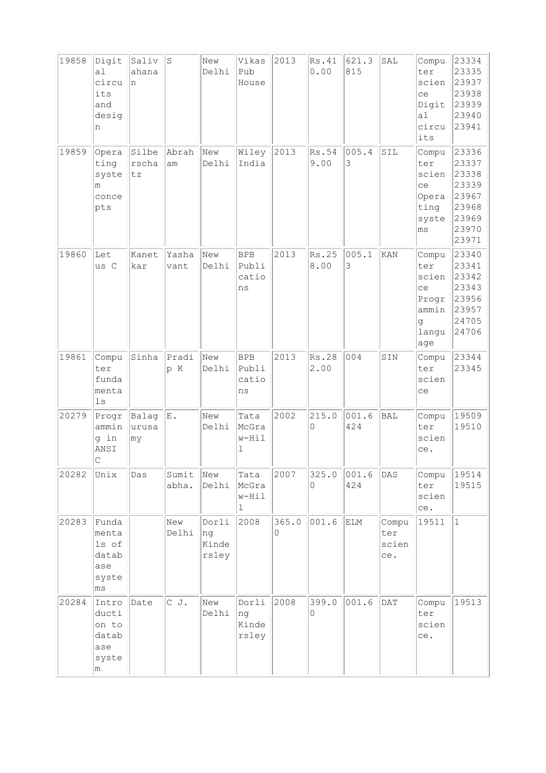| 19858 | Digit<br>a1<br>circu<br>its<br>and<br>desig<br>n                  | Saliv<br>ahana<br>n   | $\parallel$ S  | New<br>Delhi                  | Vikas<br>Pub<br>House              | 2013       | Rs.41<br>0.00 | 621.3<br>815 | SAL                          | Compu<br>ter<br>scien<br>ce<br>Digit<br>a <sub>1</sub><br>circu<br>its | 23334<br>23335<br>23937<br>23938<br>23939<br>23940<br>23941                   |
|-------|-------------------------------------------------------------------|-----------------------|----------------|-------------------------------|------------------------------------|------------|---------------|--------------|------------------------------|------------------------------------------------------------------------|-------------------------------------------------------------------------------|
| 19859 | Opera<br>ting<br>syste<br>m<br>conce<br>pts                       | Silbe<br>rscha<br> tz | Abrah<br>am    | New<br>Delhi                  | Wiley<br>India                     | 2013       | Rs.54<br>9.00 | 005.4<br>3   | SIL                          | Compu<br>ter<br>scien<br>ce<br>Opera<br>ting<br>syste<br>ms            | 23336<br>23337<br>23338<br>23339<br>23967<br>23968<br>23969<br>23970<br>23971 |
| 19860 | Let<br>us C                                                       | Kanet<br>kar          | Yasha<br>vant  | New<br>Delhi                  | <b>BPB</b><br>Publi<br>catio<br>ns | 2013       | Rs.25<br>8.00 | 005.1<br>3   | KAN                          | Compu<br>ter<br>scien<br>ce<br>Progr<br>ammin<br>q<br>langu<br>age     | 23340<br>23341<br>23342<br>23343<br>23956<br>23957<br>24705<br>24706          |
| 19861 | Compu<br>ter<br>funda<br>menta<br>$\lfloor \log n \rfloor$        | Sinha                 | Pradi<br>p K   | New<br>Delhi                  | <b>BPB</b><br>Publi<br>catio<br>ns | 2013       | Rs.28<br>2.00 | 004          | SIN                          | Compu<br>ter<br>scien<br>ce                                            | 23344<br>23345                                                                |
| 20279 | Progr<br>ammin<br>g in<br>ANSI<br>$\mathsf C$                     | Balag<br>urusa<br> my | E.             | New<br>Delhi                  | Tata<br>McGra<br>w-Hil<br>ı        | 2002       | 215.0<br>0    | 001.6<br>424 | BAL                          | Compu<br>ter<br>scien<br>ce.                                           | 19509<br>19510                                                                |
| 20282 | Unix                                                              | Das                   | Sumit<br>abha. | New<br>Delhi                  | Tata<br>McGra<br>w-Hil<br>1        | 2007       | 325.0<br>0    | 001.6<br>424 | DAS                          | Compu<br>ter<br>scien<br>ce.                                           | 19514<br>19515                                                                |
| 20283 | Funda<br>menta<br>ls of<br>datab<br>ase<br>syste<br>$ \text{ms} $ |                       | New<br>Delhi   | Dorli<br>ng<br>Kinde<br>rsley | 2008                               | 365.0<br>0 | 001.6         | ELM          | Compu<br>ter<br>scien<br>ce. | 19511                                                                  | $\mathbf{1}$                                                                  |
| 20284 | Intro<br>ducti<br>on to<br>datab<br>ase<br>syste<br>m             | Date                  | CJ.            | New<br>Delhi                  | Dorli<br>ng<br>Kinde<br>rsley      | 2008       | 399.0<br>0    | 001.6        | <b>DAT</b>                   | Compu<br>ter<br>scien<br>ce.                                           | 19513                                                                         |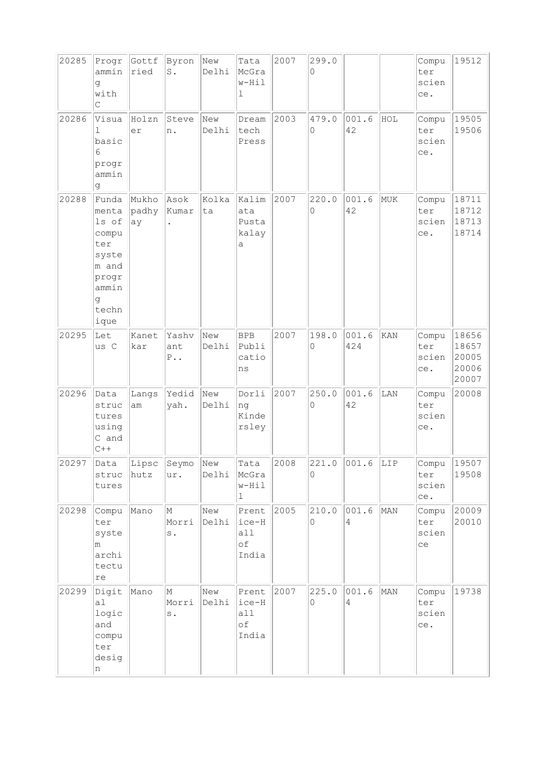| 20285 | Progr<br>ammin<br>g<br>with<br>C                                                                  | Gottf<br>ried         | Byron New<br>$\mathtt{S}$ .     | Delhi        | Tata<br>McGra<br>w-Hil<br>1          | 2007 | 299.0<br>0 |                         |     | Compu<br>ter<br>scien<br>ce.      | 19512                                     |
|-------|---------------------------------------------------------------------------------------------------|-----------------------|---------------------------------|--------------|--------------------------------------|------|------------|-------------------------|-----|-----------------------------------|-------------------------------------------|
| 20286 | Visua<br>ı<br>basic<br>6<br>progr<br>ammin<br>g                                                   | Holzn<br>er           | Steve<br>n.                     | New<br>Delhi | Dream<br>tech<br>Press               | 2003 | 479.0<br>0 | 001.6<br>42             | HOL | Compu<br>ter<br>scien<br>ce.      | 19505<br>19506                            |
| 20288 | Funda<br>menta<br>ls of<br>compu<br>ter<br>syste<br>m and<br>progr<br>ammin<br>g<br>techn<br>ique | Mukho<br>padhy<br> ay | Asok<br>Kumar<br>$\bullet$      | Kolka<br>ta  | Kalim<br>ata<br>Pusta<br>kalay<br>а  | 2007 | 220.0<br>0 | 001.6<br>42             | MUK | Compu<br>ter<br>scien<br>ce.      | 18711<br>18712<br>18713<br>18714          |
| 20295 | Let<br>us C                                                                                       | Kanet<br>kar          | Yashv<br>ant<br>$P \cdot \cdot$ | New<br>Delhi | <b>BPB</b><br>Publi<br>catio<br>ns   | 2007 | 198.0<br>0 | 001.6<br>424            | KAN | Compu<br>ter<br>scien<br>ce.      | 18656<br>18657<br>20005<br>20006<br>20007 |
| 20296 | Data<br>struc<br>tures<br>using<br>C and<br>$C++$                                                 | Langs<br>am           | Yedid<br>yah.                   | New<br>Delhi | Dorli<br>ng<br>Kinde<br>rsley        | 2007 | 250.0<br>0 | 001.6<br>42             | LAN | Compu<br>ter<br>scien<br>ce.      | 20008                                     |
| 20297 | Data<br>struc<br>tures                                                                            | hutz                  | Lipsc Seymo New<br>ur.          | Delhi McGra  | Tata<br>w-Hil<br>ı                   | 2008 | 221.0<br>0 | $ 001.6 $ LIP           |     | Compu<br>ter<br>scien<br>ce.      | 19507<br>19508                            |
| 20298 | Compu<br>ter<br>syste<br>m<br>archi<br>tectu<br>$\mathtt{re}$                                     | Mano                  | M<br>Morri<br>$\texttt{s}$ .    | New<br>Delhi | Prent<br>ice-H<br>a11<br>оf<br>India | 2005 | 210.0<br>0 | 001.6<br>4              | MAN | Compu 20009<br>ter<br>scien<br>ce | 20010                                     |
| 20299 | Digit<br>al<br>logic<br>and<br>compu<br>ter<br>desig<br>n                                         | Mano                  | M<br>Morri<br>$\rm s$ .         | New<br>Delhi | Prent<br>ice-H<br>a11<br>оf<br>India | 2007 | 225.0<br>0 | 001.6<br>$\overline{4}$ | MAN | Compu<br>ter<br>scien<br>ce.      | 19738                                     |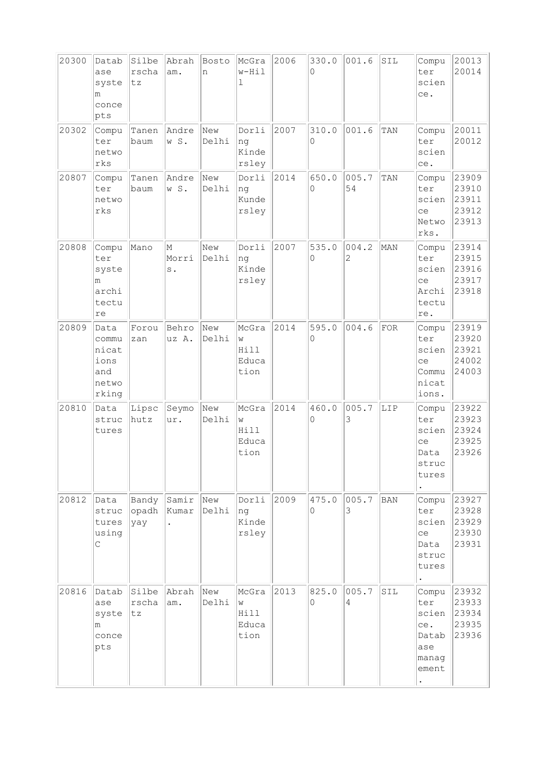| 20300 | Datab<br>ase<br>syste<br>m<br>conce<br>pts              | Silbe<br>rscha<br>tz  | Abrah<br>am.                           | Bosto<br>n   | McGra<br>w-Hil<br>ı                 | 2006 | 330.0<br>$\Omega$ | 001.6       | SIL | Compu<br>ter<br>scien<br>ce.                                       | 20013<br>20014                            |
|-------|---------------------------------------------------------|-----------------------|----------------------------------------|--------------|-------------------------------------|------|-------------------|-------------|-----|--------------------------------------------------------------------|-------------------------------------------|
| 20302 | Compu<br>ter<br>netwo<br>rks                            | Tanen<br>baum         | Andre<br>w S.                          | New<br>Delhi | Dorli<br>ng<br>Kinde<br>rsley       | 2007 | 310.0<br>0        | 001.6       | TAN | Compu<br>ter<br>scien<br>ce.                                       | 20011<br>20012                            |
| 20807 | Compu<br>ter<br>netwo<br>rks                            | Tanen<br>baum         | Andre<br>w S.                          | New<br>Delhi | Dorli<br>ng<br>Kunde<br>rsley       | 2014 | 650.0<br>$\Omega$ | 005.7<br>54 | TAN | Compu<br>ter<br>scien<br>ce<br>Netwo<br>rks.                       | 23909<br>23910<br>23911<br>23912<br>23913 |
| 20808 | Compu<br>ter<br>syste<br>m<br>archi<br>tectu<br>re      | Mano                  | М<br>Morri<br>$\mathbf s$ .            | New<br>Delhi | Dorli<br>ng<br>Kinde<br>rsley       | 2007 | 535.0<br>0        | 004.2<br>2  | MAN | Compu<br>ter<br>scien<br>ce<br>Archi<br>tectu<br>re.               | 23914<br>23915<br>23916<br>23917<br>23918 |
| 20809 | Data<br>commu<br>nicat<br>ions<br>and<br>netwo<br>rking | Forou<br>zan          | Behro<br>uz A.                         | New<br>Delhi | McGra<br>W<br>Hill<br>Educa<br>tion | 2014 | 595.0<br>0        | 004.6       | FOR | Compu<br>ter<br>scien<br>ce<br>Commu<br>nicat<br>ions.             | 23919<br>23920<br>23921<br>24002<br>24003 |
| 20810 | Data<br>struc<br>tures                                  | Lipsc<br>hutz         | Seymo<br>ur.                           | New<br>Delhi | McGra<br>W<br>Hill<br>Educa<br>tion | 2014 | 460.0<br>$\Omega$ | 005.7<br>3  | LIP | Compu<br>ter<br>scien<br>ce<br>Data<br>struc<br>tures              | 23922<br>23923<br>23924<br>23925<br>23926 |
| 20812 | Data<br>struc<br>tures<br>using<br>С                    | Bandy<br>opadh<br>yay | Samir<br>Kumar<br>$\ddot{\phantom{0}}$ | New<br>Delhi | Dorli<br>ng<br>Kinde<br>rsley       | 2009 | 475.0<br>0        | 005.7<br>3  | BAN | Compu<br>ter<br>scien<br>ce<br>Data<br>struc<br>tures<br>$\bullet$ | 23927<br>23928<br>23929<br>23930<br>23931 |
| 20816 | Datab<br>ase<br>syste<br>m<br>conce<br>pts              | Silbe<br>rscha<br>tz  | Abrah<br>am.                           | New<br>Delhi | McGra<br>W<br>Hill<br>Educa<br>tion | 2013 | 825.0<br>$\Omega$ | 005.7<br>4  | SIL | Compu<br>ter<br>scien<br>ce.<br>Datab<br>ase<br>manag<br>ement     | 23932<br>23933<br>23934<br>23935<br>23936 |